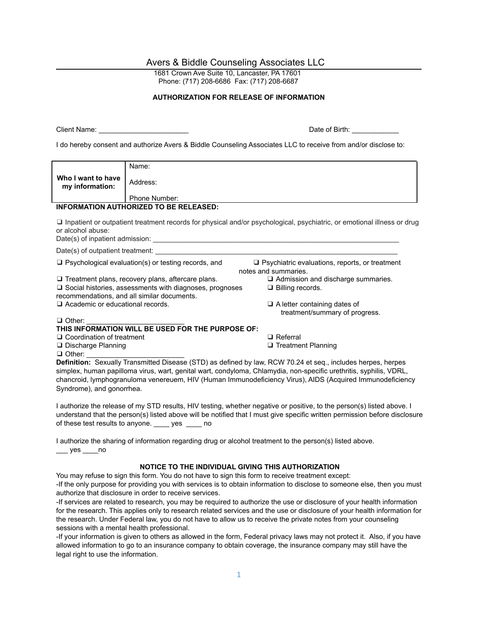## Avers & Biddle Counseling Associates LLC

1681 Crown Ave Suite 10, Lancaster, PA 17601 Phone: (717) 208-6686 Fax: (717) 208-6687

## **AUTHORIZATION FOR RELEASE OF INFORMATION**

Client Name:

| Date of Birth: |  |
|----------------|--|
|                |  |

I do hereby consent and authorize Avers & Biddle Counseling Associates LLC to receive from and/or disclose to:

|                                                                                                                                                    | Name:                |                                                                                                              |
|----------------------------------------------------------------------------------------------------------------------------------------------------|----------------------|--------------------------------------------------------------------------------------------------------------|
| Who I want to have<br>my information:                                                                                                              | Address:             |                                                                                                              |
|                                                                                                                                                    | <b>Phone Number:</b> |                                                                                                              |
| <b>INFORMATION AUTHORIZED TO BE RELEASED:</b>                                                                                                      |                      |                                                                                                              |
| $\Box$ Inpatient or outpatient treatment records for physical and/or psychological, psychiatric, or emotional illness or drug<br>or alcohol abuse: |                      |                                                                                                              |
| Date(s) of outpatient treatment:                                                                                                                   |                      |                                                                                                              |
| $\Box$ Psychological evaluation(s) or testing records, and<br>$\Box$ Psychiatric evaluations, reports, or treatment<br>notes and summaries.        |                      |                                                                                                              |
| $\Box$ Treatment plans, recovery plans, aftercare plans.                                                                                           |                      | $\Box$ Admission and discharge summaries.                                                                    |
| $\Box$ Social histories, assessments with diagnoses, prognoses<br>$\Box$ Billing records.<br>recommendations, and all similar documents.           |                      |                                                                                                              |
| $\Box$ Academic or educational records.                                                                                                            |                      | $\Box$ A letter containing dates of                                                                          |
|                                                                                                                                                    |                      | treatment/summary of progress.                                                                               |
| $\Box$ Other:                                                                                                                                      |                      |                                                                                                              |
| THIS INFORMATION WILL BE USED FOR THE PURPOSE OF:<br>□ Coordination of treatment<br>$\Box$ Referral                                                |                      |                                                                                                              |
| □ Discharge Planning                                                                                                                               |                      | $\Box$ Treatment Planning                                                                                    |
| $\Box$ Other:                                                                                                                                      |                      |                                                                                                              |
|                                                                                                                                                    |                      | Definition: Sexually Transmitted Disease (STD) as defined by law, RCW 70.24 et seq., includes herpes, herpes |
| simplex, human papilloma virus, wart, genital wart, condyloma, Chlamydia, non-specific urethritis, syphilis, VDRL                                  |                      |                                                                                                              |

simplex, human papilloma virus, wart, genital wart, condyloma, Chlamydia, non-specific urethritis, syphilis, VDRL, chancroid, lymphogranuloma venereuem, HIV (Human Immunodeficiency Virus), AIDS (Acquired Immunodeficiency Syndrome), and gonorrhea.

I authorize the release of my STD results, HIV testing, whether negative or positive, to the person(s) listed above. I understand that the person(s) listed above will be notified that I must give specific written permission before disclosure of these test results to anyone. \_\_\_\_ yes \_\_\_\_ no

I authorize the sharing of information regarding drug or alcohol treatment to the person(s) listed above.  $\rule{1em}{0.15mm}$  yes  $\rule{1em}{0.15mm}$ no

## **NOTICE TO THE INDIVIDUAL GIVING THIS AUTHORIZATION**

You may refuse to sign this form. You do not have to sign this form to receive treatment except: -If the only purpose for providing you with services is to obtain information to disclose to someone else, then you must authorize that disclosure in order to receive services.

-If services are related to research, you may be required to authorize the use or disclosure of your health information for the research. This applies only to research related services and the use or disclosure of your health information for the research. Under Federal law, you do not have to allow us to receive the private notes from your counseling sessions with a mental health professional.

-If your information is given to others as allowed in the form, Federal privacy laws may not protect it. Also, if you have allowed information to go to an insurance company to obtain coverage, the insurance company may still have the legal right to use the information.